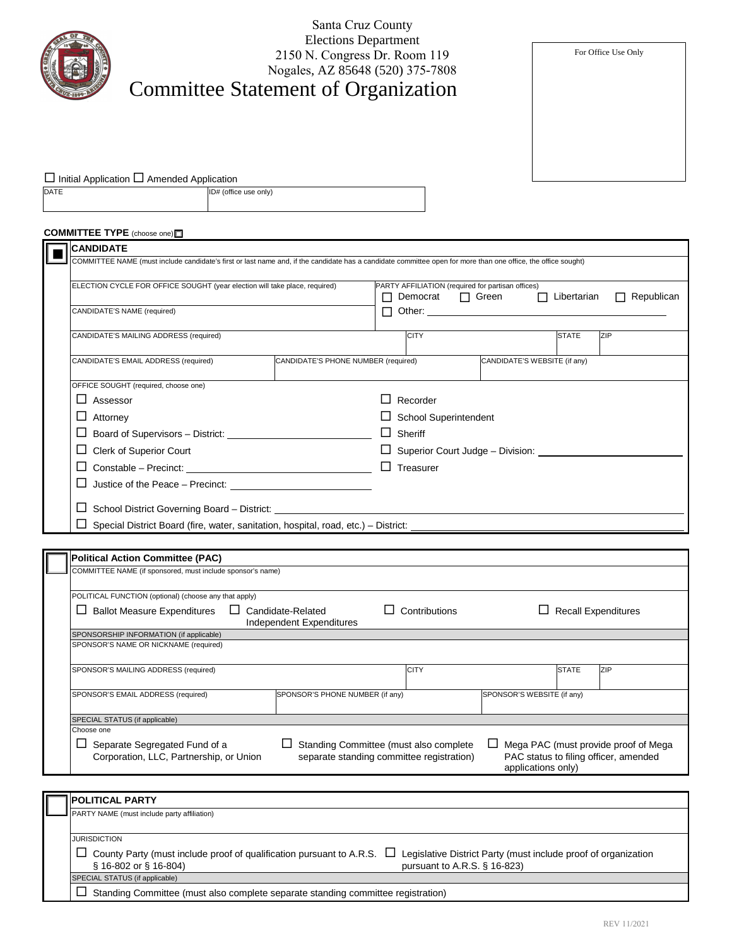|                                                                                                                                                               | Santa Cruz County                                                                                |                                                                                                                                                                                                                                     |                              |                                                                               |  |
|---------------------------------------------------------------------------------------------------------------------------------------------------------------|--------------------------------------------------------------------------------------------------|-------------------------------------------------------------------------------------------------------------------------------------------------------------------------------------------------------------------------------------|------------------------------|-------------------------------------------------------------------------------|--|
|                                                                                                                                                               | <b>Elections Department</b><br>2150 N. Congress Dr. Room 119<br>Nogales, AZ 85648 (520) 375-7808 |                                                                                                                                                                                                                                     |                              | For Office Use Only                                                           |  |
|                                                                                                                                                               | <b>Committee Statement of Organization</b>                                                       |                                                                                                                                                                                                                                     |                              |                                                                               |  |
|                                                                                                                                                               |                                                                                                  |                                                                                                                                                                                                                                     |                              |                                                                               |  |
|                                                                                                                                                               |                                                                                                  |                                                                                                                                                                                                                                     |                              |                                                                               |  |
|                                                                                                                                                               |                                                                                                  |                                                                                                                                                                                                                                     |                              |                                                                               |  |
|                                                                                                                                                               |                                                                                                  |                                                                                                                                                                                                                                     |                              |                                                                               |  |
| $\Box$ Initial Application $\Box$ Amended Application<br><b>DATE</b><br>ID# (office use only)                                                                 |                                                                                                  |                                                                                                                                                                                                                                     |                              |                                                                               |  |
|                                                                                                                                                               |                                                                                                  |                                                                                                                                                                                                                                     |                              |                                                                               |  |
| COMMITTEE TYPE (choose one)                                                                                                                                   |                                                                                                  |                                                                                                                                                                                                                                     |                              |                                                                               |  |
| <b>CANDIDATE</b>                                                                                                                                              |                                                                                                  |                                                                                                                                                                                                                                     |                              |                                                                               |  |
| COMMITTEE NAME (must include candidate's first or last name and, if the candidate has a candidate committee open for more than one office, the office sought) |                                                                                                  |                                                                                                                                                                                                                                     |                              |                                                                               |  |
| ELECTION CYCLE FOR OFFICE SOUGHT (year election will take place, required)                                                                                    |                                                                                                  | PARTY AFFILIATION (required for partisan offices)                                                                                                                                                                                   |                              |                                                                               |  |
|                                                                                                                                                               |                                                                                                  | Democrat <sub>[1]</sub> Green<br>П                                                                                                                                                                                                  | $\Box$ Libertarian           | $\Box$ Republican                                                             |  |
| CANDIDATE'S NAME (required)                                                                                                                                   |                                                                                                  | Other: the contract of the contract of the contract of the contract of the contract of the contract of the contract of the contract of the contract of the contract of the contract of the contract of the contract of the con<br>П |                              |                                                                               |  |
| CANDIDATE'S MAILING ADDRESS (required)                                                                                                                        |                                                                                                  | <b>CITY</b>                                                                                                                                                                                                                         | <b>STATE</b>                 | ZIP                                                                           |  |
| CANDIDATE'S EMAIL ADDRESS (required)                                                                                                                          | CANDIDATE'S PHONE NUMBER (required)                                                              |                                                                                                                                                                                                                                     | CANDIDATE'S WEBSITE (if any) |                                                                               |  |
|                                                                                                                                                               |                                                                                                  |                                                                                                                                                                                                                                     |                              |                                                                               |  |
| OFFICE SOUGHT (required, choose one)<br>$\Box$ Assessor                                                                                                       |                                                                                                  | Recorder                                                                                                                                                                                                                            |                              |                                                                               |  |
| $\Box$ Attorney                                                                                                                                               |                                                                                                  | $\Box$ School Superintendent                                                                                                                                                                                                        |                              |                                                                               |  |
|                                                                                                                                                               |                                                                                                  | $\Box$ Sheriff                                                                                                                                                                                                                      |                              |                                                                               |  |
| Clerk of Superior Court<br>⊔                                                                                                                                  |                                                                                                  | $\Box$ Superior Court Judge – Division: $\Box$                                                                                                                                                                                      |                              |                                                                               |  |
| ப                                                                                                                                                             |                                                                                                  | $\Box$ Treasurer                                                                                                                                                                                                                    |                              |                                                                               |  |
|                                                                                                                                                               |                                                                                                  |                                                                                                                                                                                                                                     |                              |                                                                               |  |
| $\Box$ School District Governing Board – District:                                                                                                            |                                                                                                  |                                                                                                                                                                                                                                     |                              |                                                                               |  |
| Special District Board (fire, water, sanitation, hospital, road, etc.) - District:                                                                            |                                                                                                  |                                                                                                                                                                                                                                     |                              |                                                                               |  |
|                                                                                                                                                               |                                                                                                  |                                                                                                                                                                                                                                     |                              |                                                                               |  |
| <b>Political Action Committee (PAC)</b><br>COMMITTEE NAME (if sponsored, must include sponsor's name)                                                         |                                                                                                  |                                                                                                                                                                                                                                     |                              |                                                                               |  |
|                                                                                                                                                               |                                                                                                  |                                                                                                                                                                                                                                     |                              |                                                                               |  |
| POLITICAL FUNCTION (optional) (choose any that apply)                                                                                                         |                                                                                                  |                                                                                                                                                                                                                                     |                              |                                                                               |  |
| $\Box$ Candidate-Related<br>$\Box$ Ballot Measure Expenditures                                                                                                | Independent Expenditures                                                                         | $\Box$ Contributions                                                                                                                                                                                                                |                              | $\Box$ Recall Expenditures                                                    |  |
| SPONSORSHIP INFORMATION (if applicable)<br>SPONSOR'S NAME OR NICKNAME (required)                                                                              |                                                                                                  |                                                                                                                                                                                                                                     |                              |                                                                               |  |
|                                                                                                                                                               |                                                                                                  |                                                                                                                                                                                                                                     |                              |                                                                               |  |
| SPONSOR'S MAILING ADDRESS (required)                                                                                                                          |                                                                                                  | <b>CITY</b>                                                                                                                                                                                                                         | <b>STATE</b>                 | ZIP                                                                           |  |
| SPONSOR'S EMAIL ADDRESS (required)                                                                                                                            | SPONSOR'S PHONE NUMBER (if any)                                                                  |                                                                                                                                                                                                                                     | SPONSOR'S WEBSITE (if any)   |                                                                               |  |
| SPECIAL STATUS (if applicable)<br>Choose one                                                                                                                  |                                                                                                  |                                                                                                                                                                                                                                     |                              |                                                                               |  |
| Separate Segregated Fund of a<br>ப<br>Corporation, LLC, Partnership, or Union                                                                                 | ப                                                                                                | Standing Committee (must also complete<br>separate standing committee registration)                                                                                                                                                 | applications only)           | Mega PAC (must provide proof of Mega<br>PAC status to filing officer, amended |  |
|                                                                                                                                                               |                                                                                                  |                                                                                                                                                                                                                                     |                              |                                                                               |  |
| <b>POLITICAL PARTY</b><br>PARTY NAME (must include party affiliation)                                                                                         |                                                                                                  |                                                                                                                                                                                                                                     |                              |                                                                               |  |
|                                                                                                                                                               |                                                                                                  |                                                                                                                                                                                                                                     |                              |                                                                               |  |
| <b>JURISDICTION</b>                                                                                                                                           |                                                                                                  |                                                                                                                                                                                                                                     |                              |                                                                               |  |

| $\Box$ County Party (must include proof of qualification pursuant to A.R.S. $\Box$ Legislative District Party (must include proof of organization<br>§ 16-802 or § 16-804) | pursuant to A.R.S. $\S$ 16-823) |
|----------------------------------------------------------------------------------------------------------------------------------------------------------------------------|---------------------------------|
| SPECIAL STATUS (if applicable)                                                                                                                                             |                                 |

 $\Box\;$  Standing Committee (must also complete separate standing committee registration)